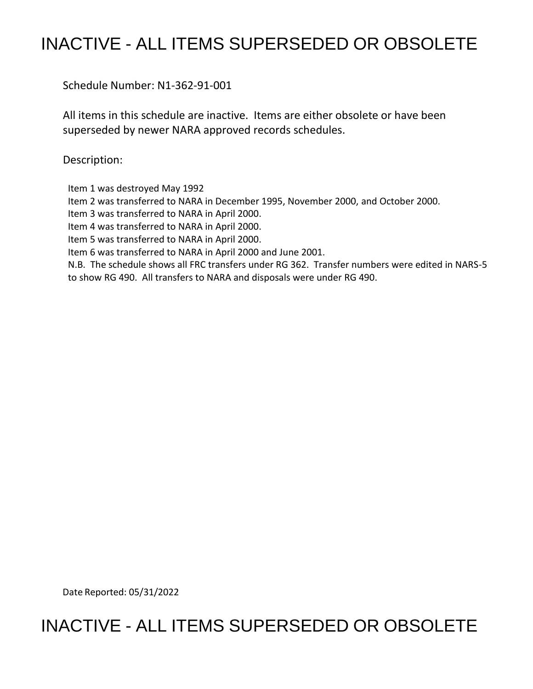# INACTIVE - ALL ITEMS SUPERSEDED OR OBSOLETE

Schedule Number: N1-362-91-001

 All items in this schedule are inactive. Items are either obsolete or have been superseded by newer NARA approved records schedules.

Description:

Item 1 was destroyed May 1992

Item 2 was transferred to NARA in December 1995, November 2000, and October 2000.

Item 3 was transferred to NARA in April 2000.

Item 4 was transferred to NARA in April 2000.

Item 5 was transferred to NARA in April 2000.

Item 6 was transferred to NARA in April 2000 and June 2001.

 N.B. The schedule shows all FRC transfers under RG 362. Transfer numbers were edited in NARS-5 to show RG 490. All transfers to NARA and disposals were under RG 490.

Date Reported: 05/31/2022

# INACTIVE - ALL ITEMS SUPERSEDED OR OBSOLETE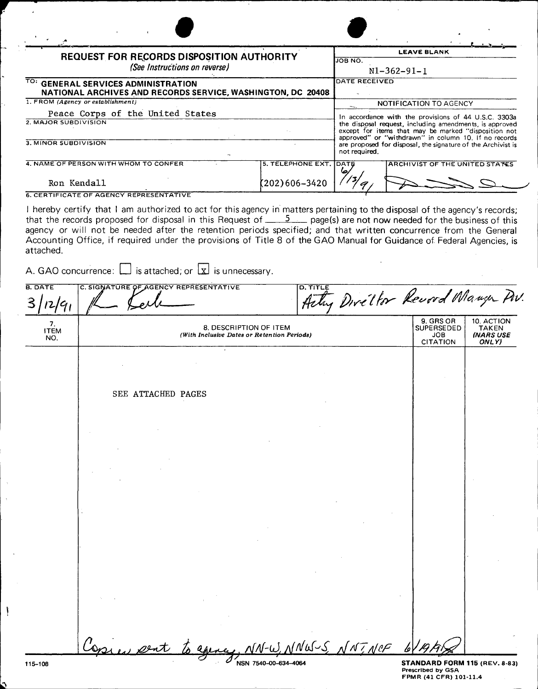| REQUEST FOR RECORDS DISPOSITION AUTHORITY<br>(See Instructions on reverse)                       |                                                                                                                                                                                                                                            |                                                                       |                   |           | <b>LEAVE BLANK</b><br><b>JOB NO.</b><br>$N1-362-91-1$                                                                                                                   |                                                          |                                                  |  |
|--------------------------------------------------------------------------------------------------|--------------------------------------------------------------------------------------------------------------------------------------------------------------------------------------------------------------------------------------------|-----------------------------------------------------------------------|-------------------|-----------|-------------------------------------------------------------------------------------------------------------------------------------------------------------------------|----------------------------------------------------------|--------------------------------------------------|--|
|                                                                                                  |                                                                                                                                                                                                                                            |                                                                       |                   |           |                                                                                                                                                                         |                                                          |                                                  |  |
| NATIONAL ARCHIVES AND RECORDS SERVICE, WASHINGTON, DC 20408<br>1. FROM (Agency or establishment) |                                                                                                                                                                                                                                            |                                                                       |                   |           | <b>NOTIFICATION TO AGENCY</b>                                                                                                                                           |                                                          |                                                  |  |
| Peace Corps of the United States<br>2. MAJOR SUBDIVISION                                         |                                                                                                                                                                                                                                            |                                                                       |                   |           | In accordance with the provisions of 44 U.S.C. 3303a<br>the disposal request, including amendments, is approved<br>except for items that may be marked "disposition not |                                                          |                                                  |  |
| 3. MINOR SUBDIVISION                                                                             |                                                                                                                                                                                                                                            |                                                                       |                   |           | approved" or "withdrawn" in column 10. If no records<br>are proposed for disposal, the signature of the Archivist is<br>not required.                                   |                                                          |                                                  |  |
|                                                                                                  | 4. NAME OF PERSON WITH WHOM TO CONFER                                                                                                                                                                                                      |                                                                       | 5. TELEPHONE EXT. | DATE      |                                                                                                                                                                         |                                                          | ARCHIVIST OF THE UNITED STATES                   |  |
| Ron Kendall                                                                                      |                                                                                                                                                                                                                                            |                                                                       | (202)606–3420     |           |                                                                                                                                                                         |                                                          |                                                  |  |
|                                                                                                  | <b>6. CERTIFICATE OF AGENCY REPRESENTATIVE</b>                                                                                                                                                                                             |                                                                       |                   |           |                                                                                                                                                                         |                                                          |                                                  |  |
| attached.                                                                                        | agency or will not be needed after the retention periods specified; and that written concurrence from the General<br>Accounting Office, if required under the provisions of Title 8 of the GAO Manual for Guidance of Federal Agencies, is |                                                                       |                   |           |                                                                                                                                                                         |                                                          |                                                  |  |
|                                                                                                  | A. GAO concurrence: $\Box$ is attached; or $\Box$ is unnecessary.                                                                                                                                                                          |                                                                       |                   |           |                                                                                                                                                                         |                                                          |                                                  |  |
| <b>B. DATE</b><br>12/91                                                                          | C. SIGNATURE OF AGENCY REPRESENTATIVE                                                                                                                                                                                                      |                                                                       | <b>D. TITLE</b>   |           |                                                                                                                                                                         |                                                          | Arty Diveltor Revord Mange Pw.                   |  |
| 7.<br><b>ITEM</b><br>NO.                                                                         |                                                                                                                                                                                                                                            | 8. DESCRIPTION OF ITEM<br>(With Inclusive Dates or Retention Periods) |                   |           |                                                                                                                                                                         | 9. GRS OR<br><b>SUPERSEDED</b><br>JOB<br><b>CITATION</b> | 10. ACTION<br>TAKEN<br><b>INARS USE</b><br>ONLY) |  |
|                                                                                                  |                                                                                                                                                                                                                                            |                                                                       |                   |           |                                                                                                                                                                         |                                                          |                                                  |  |
|                                                                                                  | SEE ATTACHED PAGES                                                                                                                                                                                                                         |                                                                       |                   |           |                                                                                                                                                                         |                                                          |                                                  |  |
|                                                                                                  |                                                                                                                                                                                                                                            |                                                                       |                   |           |                                                                                                                                                                         |                                                          |                                                  |  |
|                                                                                                  |                                                                                                                                                                                                                                            |                                                                       |                   |           |                                                                                                                                                                         |                                                          |                                                  |  |
|                                                                                                  |                                                                                                                                                                                                                                            |                                                                       |                   |           |                                                                                                                                                                         |                                                          |                                                  |  |
|                                                                                                  |                                                                                                                                                                                                                                            |                                                                       |                   |           |                                                                                                                                                                         |                                                          |                                                  |  |
|                                                                                                  |                                                                                                                                                                                                                                            |                                                                       |                   |           |                                                                                                                                                                         |                                                          |                                                  |  |
|                                                                                                  |                                                                                                                                                                                                                                            |                                                                       |                   |           |                                                                                                                                                                         |                                                          |                                                  |  |
|                                                                                                  |                                                                                                                                                                                                                                            |                                                                       |                   |           |                                                                                                                                                                         |                                                          |                                                  |  |
|                                                                                                  |                                                                                                                                                                                                                                            |                                                                       |                   |           |                                                                                                                                                                         |                                                          |                                                  |  |
|                                                                                                  |                                                                                                                                                                                                                                            |                                                                       |                   |           |                                                                                                                                                                         |                                                          |                                                  |  |
|                                                                                                  |                                                                                                                                                                                                                                            |                                                                       |                   |           |                                                                                                                                                                         |                                                          |                                                  |  |
|                                                                                                  |                                                                                                                                                                                                                                            |                                                                       |                   |           |                                                                                                                                                                         |                                                          |                                                  |  |
|                                                                                                  |                                                                                                                                                                                                                                            |                                                                       |                   |           |                                                                                                                                                                         |                                                          |                                                  |  |
|                                                                                                  |                                                                                                                                                                                                                                            |                                                                       |                   |           |                                                                                                                                                                         |                                                          |                                                  |  |
|                                                                                                  |                                                                                                                                                                                                                                            |                                                                       |                   |           |                                                                                                                                                                         |                                                          |                                                  |  |
|                                                                                                  |                                                                                                                                                                                                                                            |                                                                       |                   |           |                                                                                                                                                                         |                                                          |                                                  |  |
|                                                                                                  |                                                                                                                                                                                                                                            |                                                                       |                   |           |                                                                                                                                                                         |                                                          |                                                  |  |
|                                                                                                  |                                                                                                                                                                                                                                            |                                                                       |                   | S, NNTNCF |                                                                                                                                                                         |                                                          |                                                  |  |
| 115-108                                                                                          |                                                                                                                                                                                                                                            |                                                                       |                   |           |                                                                                                                                                                         |                                                          | STANDARD FORM 115 (REV. 8-83)                    |  |

 $\ddot{\phantom{a}}$ 

 $\begin{array}{c} \begin{array}{c} \begin{array}{c} \end{array} \end{array} \end{array}$ 

Ó

ŗ.

Q,

**STANDARD** FORM 115 (REV. 8-83) Prescribed by GSA FPMR (41 CFR) 101-11.4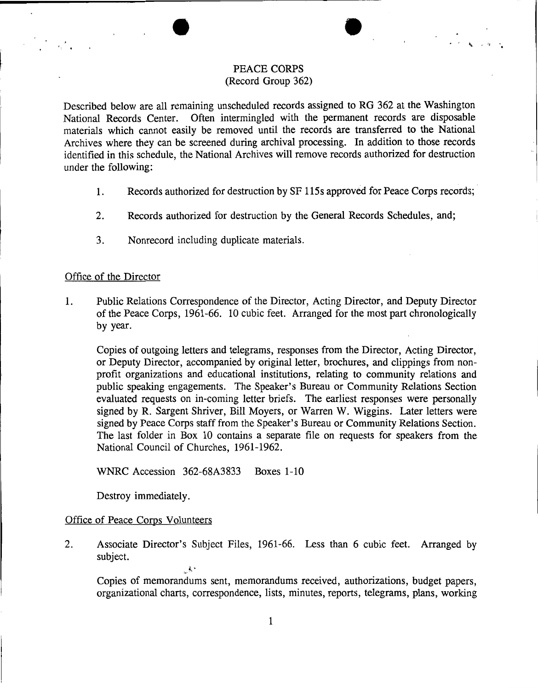#### PEACE **CORPS**  (Record Group 362)

 $\bullet$ 

Described below are all remaining unscheduled records assigned to RG 362 at the Washington National Records Center. Often intermingled with the permanent records are disposable materials which cannot easily be removed until the records are transferred to the National Archives where they can be screened during archival processing. In addition to those records identified in this schedule, the National Archives will remove records authorized for destruction under the following:

- 1. Records authorized for destruction by SF 115s approved for Peace Corps records; ·
- 2. Records authorized for destruction by the General Records Schedules, and;
- 3. Nonrecord including duplicate materials.

#### Office of the Director

1. Public Relations Correspondence of the Director, Acting Director, and Deputy Director of the Peace Corps, 1961-66. 10 cubic feet. Arranged for the most part chronologically by year.

Copies of outgoing letters and telegrams, responses from the Director, Acting Director, or Deputy Director, accompanied by original letter, brochures, and clippings from nonprofit organizations and educational institutions, relating to community relations and public speaking engagements. The Speaker's Bureau or Community Relations Section evaluated requests on in-coming letter briefs. The earliest responses were personally signed by R. Sargent Shriver, Bill Moyers, or Warren W. Wiggins. Later letters were signed by Peace Corps staff from the Speaker's Bureau or Community Relations Section. The last folder in Box 10 contains a separate file on requests for speakers from the National Council of Churches, 1961-1962.

WNRC Accession 362-68A3833 Boxes 1-10

 $\sim$   $\sim$   $\sim$ 

Destroy immediately.

#### Office of Peace Corps Volunteers

2. Associate Director's Subject Files, 1961-66. Less than 6 cubic feet. Arranged by subject.

Copies of memorandums sent, memorandums received, authorizations, budget papers, organizational charts, correspondence, lists, minutes, reports, telegrams, plans, working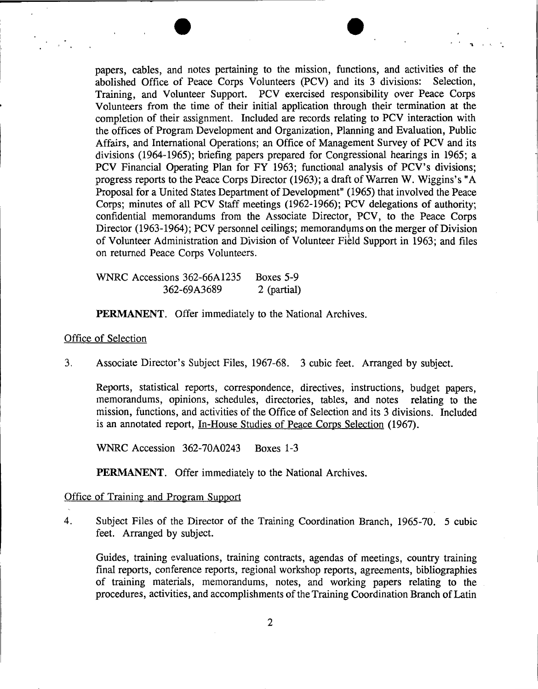

 $\mathbf{B}$  in the  $\mathbf{A}$ 

papers, cables, and notes pertaining to the mission, functions, and activities of the abolished Office of Peace Corps Volunteers (PCV) and its 3 divisions: Selection, Training, and Volunteer Support. PCV exercised responsibility over Peace Corps Volunteers from the time of their initial application through their termination at the completion of their assignment. Included are records relating to PCV interaction with the offices of Program Development and Organization, Planning and Evaluation, Public Affairs, and International Operations; an Office of Management Survey of PCV and its divisions (1964-1965); briefing papers prepared for Congressional hearings in 1965; a PCV Financial Operating Plan for FY 1963; functional analysis of PCV's divisions; progress reports to the Peace Corps Director (1963); a draft of Warren W. Wiggins's "A Proposal for a United States Department of Development" (1965) that involved the Peace Corps; minutes of all PCV Staff meetings (1962-1966); PCV delegations of authority; confidential memorandums from the Associate Director, PCV, to the Peace Corps Director (1963-1964); PCV personnel ceilings; memorandums on the merger of Division of Volunteer Administration and Division of Volunteer Field Support in 1963; and files on returned Peace Corps Volunteers.

WNRC Accessions 362-66A1235 Boxes 5-9 362-69A3689 2 (partial)

**PERMANENT.** Offer immediately to the National Archives.

#### Office of Selection

3. Associate Director's Subject Files, 1967-68. 3 cubic feet. Arranged by subject.

Reports, statistical reports, correspondence, directives, instructions, budget papers, memorandums, opinions, schedules, directories, tables, and notes relating to the mission, functions, and activities of the Office of Selection and its 3 divisions. Included is an annotated report, In-House Studies of Peace Corps Selection (1967).

WNRC Accession 362-70A0243 Boxes 1-3

**PERMANENT.** Offer immediately to the National Archives.

#### Office of Training and Program Support

4. Subject Files of the Director of the Training Coordination Branch, 1965-70. 5 cubic feet. Arranged by subject.

Guides, training evaluations, training contracts, agendas of meetings, country training final reports, conference reports, regional workshop reports, agreements, bibliographies of training materials, memorandums, notes, and working papers relating to the procedures, activities, and accomplishments of the Training Coordination Branch of Latin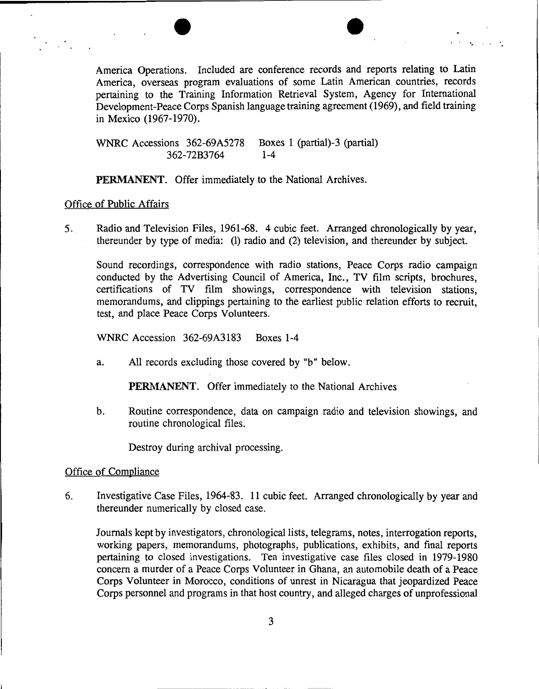America Operations. Included are conference records and reports relating to Latin America, overseas program evaluations of some Latin American countries, records pertaining to the Training Information Retrieval System, Agency for International Development-Peace Corps Spanish language training agreement (1969), and field training in Mexico (1967-1970).

 $\bullet$ 

WNRC Accessions 362-69A5278 Boxes 1 (partial)-3 (partial) 362-72B3764 1-4

**PERMANENT.** Offer immediately to the National Archives.

### Office of Public Affairs

5. Radio and Television Files, 1961-68. 4 cubic feet. Arranged chronologically by year, thereunder by type of media: (1) radio and (2) television, and thereunder by subject.

Sound recordings, correspondence with radio stations, Peace Corps radio campaign conducted by the Advertising Council of America, Inc., TV film scripts, brochures, certifications of TV film showings, correspondence with television stations, memorandums, and clippings pertaining to the earliest public relation efforts to recruit, test, and place Peace Corps Volunteers.

WNRC Accession 362-69A3183 Boxes 1-4

a. All records excluding those covered by "b" below.

**PERMANENT.** Offer immediately to the National Archives

b. Routine correspondence, data on campaign radio and television showings, and routine chronological files.

Destroy during archival processing.

#### Office of Compliance

6. Investigative Case Files, 1964-83. 11 cubic feet. Arranged chronologically by year and thereunder numerically by closed case.

Journals kept by investigators, chronological lists, telegrams, notes, interrogation reports, working papers, memorandums, photographs, publications, exhibits, and final reports pertaining to closed investigations. Ten investigative case files closed in 1979-1980 concern a murder of a Peace Corps Volunteer in Ghana, an automobile death of a Peace Corps Volunteer in Morocco, conditions of unrest in Nicaragua that jeopardized Peace Corps personnel and programs in that host country, and alleged charges of unprofessional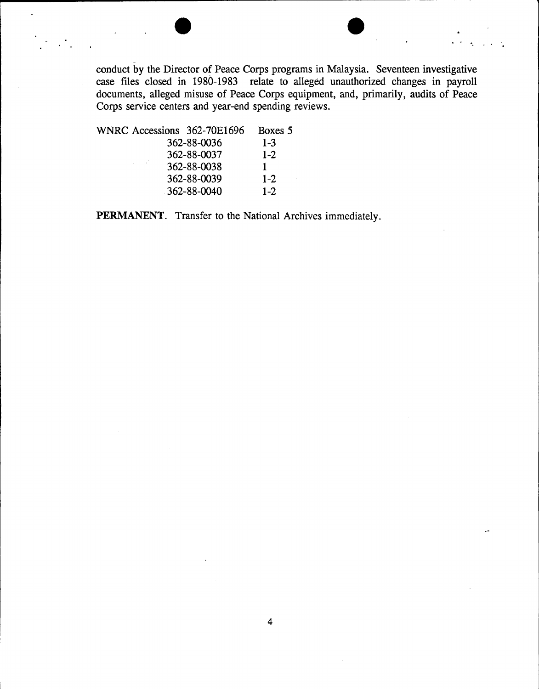- conduct by the Director of Peace Corps programs in Malaysia. Seventeen investigative case files closed in 1980-1983 relate to alleged unauthorized changes in payroll documents, alleged misuse of Peace Corps equipment, and, primarily, audits of Peace Corps service centers and year-end spending reviews.

 $\bullet$   $\bullet$  .

WNRC Accessions 362-70E1696 Boxes 5 362-88-0036 1-3 362-88-0037 1-2 362-88-0038 1<br>362-88-0039 1-2 362-88-0039 362-88-0040 1-2

**PERMANENT.** Transfer to the National Archives immediately.